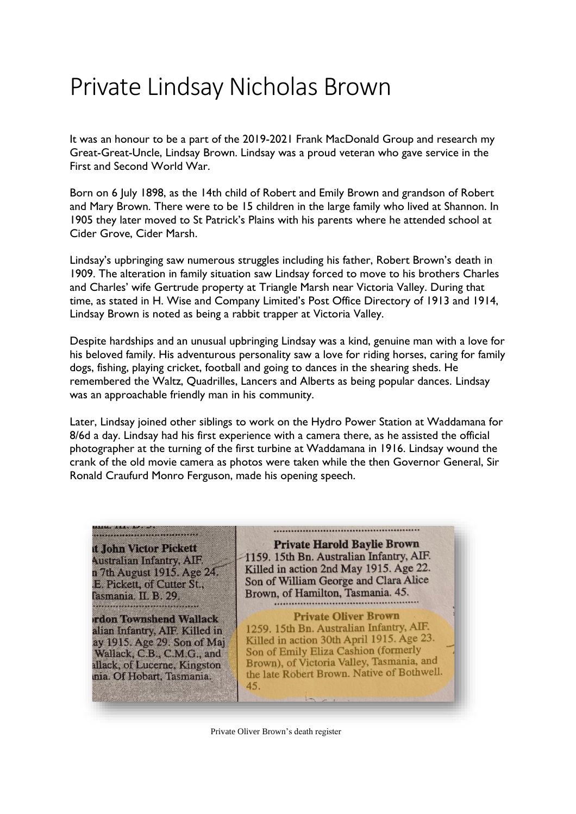# Private Lindsay Nicholas Brown

It was an honour to be a part of the 2019-2021 Frank MacDonald Group and research my Great-Great-Uncle, Lindsay Brown. Lindsay was a proud veteran who gave service in the First and Second World War.

Born on 6 July 1898, as the 14th child of Robert and Emily Brown and grandson of Robert and Mary Brown. There were to be 15 children in the large family who lived at Shannon. In 1905 they later moved to St Patrick's Plains with his parents where he attended school at Cider Grove, Cider Marsh.

Lindsay's upbringing saw numerous struggles including his father, Robert Brown's death in 1909. The alteration in family situation saw Lindsay forced to move to his brothers Charles and Charles' wife Gertrude property at Triangle Marsh near Victoria Valley. During that time, as stated in H. Wise and Company Limited's Post Office Directory of 1913 and 1914, Lindsay Brown is noted as being a rabbit trapper at Victoria Valley.

Despite hardships and an unusual upbringing Lindsay was a kind, genuine man with a love for his beloved family. His adventurous personality saw a love for riding horses, caring for family dogs, fishing, playing cricket, football and going to dances in the shearing sheds. He remembered the Waltz, Quadrilles, Lancers and Alberts as being popular dances. Lindsay was an approachable friendly man in his community.

Later, Lindsay joined other siblings to work on the Hydro Power Station at Waddamana for 8/6d a day. Lindsay had his first experience with a camera there, as he assisted the official photographer at the turning of the first turbine at Waddamana in 1916. Lindsay wound the crank of the old movie camera as photos were taken while the then Governor General, Sir Ronald Craufurd Monro Ferguson, made his opening speech.



Private Oliver Brown's death register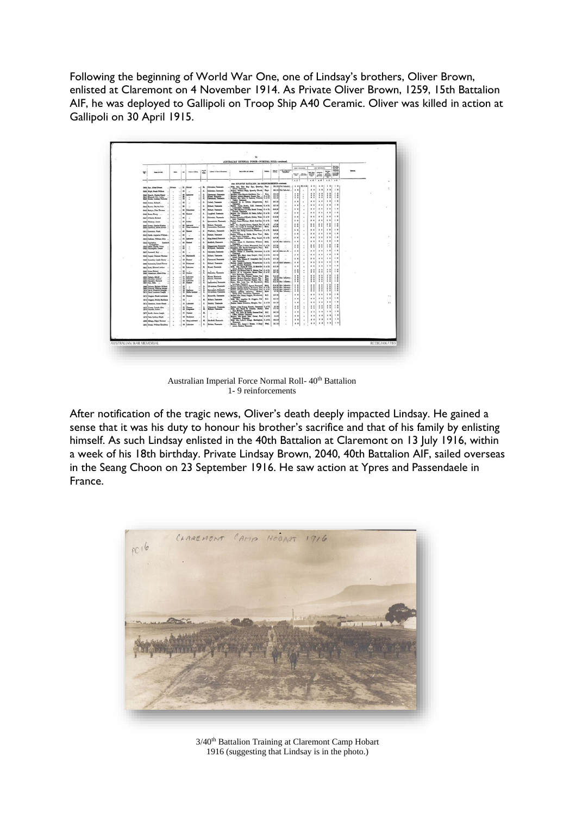Following the beginning of World War One, one of Lindsay's brothers, Oliver Brown, enlisted at Claremont on 4 November 1914. As Private Oliver Brown, 1259, 15th Battalion AIF, he was deployed to Gallipoli on Troop Ship A40 Ceramic. Oliver was killed in action at Gallipoli on 30 April 1915.



Australian Imperial Force Normal Roll- 40<sup>th</sup> Battalion 1- 9 reinforcements

After notification of the tragic news, Oliver's death deeply impacted Lindsay. He gained a sense that it was his duty to honour his brother's sacrifice and that of his family by enlisting himself. As such Lindsay enlisted in the 40th Battalion at Claremont on 13 July 1916, within a week of his 18th birthday. Private Lindsay Brown, 2040, 40th Battalion AIF, sailed overseas in the Seang Choon on 23 September 1916. He saw action at Ypres and Passendaele in France.



3/40<sup>th</sup> Battalion Training at Claremont Camp Hobart 1916 (suggesting that Lindsay is in the photo.)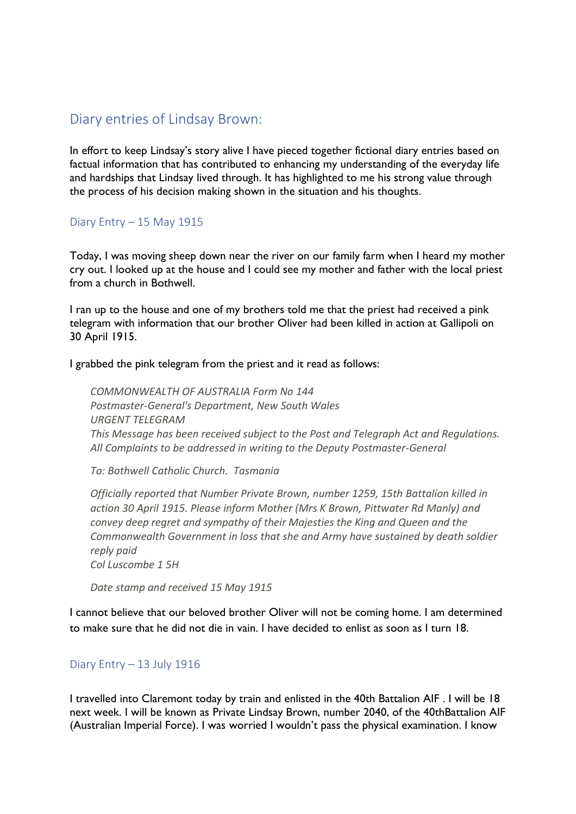# Diary entries of Lindsay Brown:

In effort to keep Lindsay's story alive I have pieced together fictional diary entries based on factual information that has contributed to enhancing my understanding of the everyday life and hardships that Lindsay lived through. It has highlighted to me his strong value through the process of his decision making shown in the situation and his thoughts.

## Diary Entry – 15 May 1915

Today, I was moving sheep down near the river on our family farm when I heard my mother cry out. I looked up at the house and I could see my mother and father with the local priest from a church in Bothwell.

I ran up to the house and one of my brothers told me that the priest had received a pink telegram with information that our brother Oliver had been killed in action at Gallipoli on 30 April 1915.

I grabbed the pink telegram from the priest and it read as follows:

*COMMONWEALTH OF AUSTRALIA Form No 144 Postmaster-General's Department, New South Wales URGENT TELEGRAM This Message has been received subject to the Post and Telegraph Act and Regulations. All Complaints to be addressed in writing to the Deputy Postmaster-General*

*To: Bothwell Catholic Church. Tasmania*

*Officially reported that Number Private Brown, number 1259, 15th Battalion killed in action 30 April 1915. Please inform Mother (Mrs K Brown, Pittwater Rd Manly) and convey deep regret and sympathy of their Majesties the King and Queen and the Commonwealth Government in loss that she and Army have sustained by death soldier reply paid Col Luscombe 1 5H*

*Date stamp and received 15 May 1915*

I cannot believe that our beloved brother Oliver will not be coming home. I am determined to make sure that he did not die in vain. I have decided to enlist as soon as I turn 18.

## Diary Entry – 13 July 1916

I travelled into Claremont today by train and enlisted in the 40th Battalion AIF . I will be 18 next week. I will be known as Private Lindsay Brown, number 2040, of the 40thBattalion AIF (Australian Imperial Force). I was worried I wouldn't pass the physical examination. I know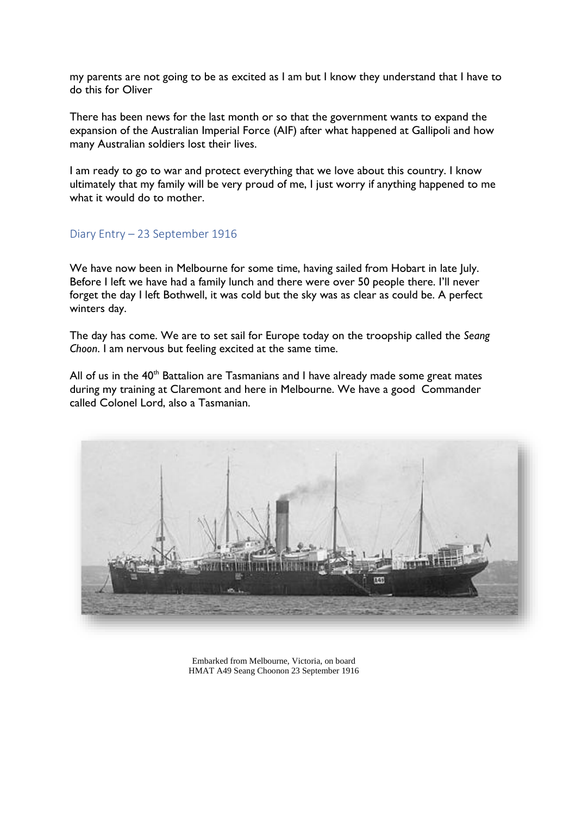my parents are not going to be as excited as I am but I know they understand that I have to do this for Oliver

There has been news for the last month or so that the government wants to expand the expansion of the [Australian Imperial Force](https://en.wikipedia.org/wiki/First_Australian_Imperial_Force) (AIF) after what happened at Gallipoli and how many Australian soldiers lost their lives.

I am ready to go to war and protect everything that we love about this country. I know ultimately that my family will be very proud of me, I just worry if anything happened to me what it would do to mother.

#### Diary Entry – 23 September 1916

We have now been in Melbourne for some time, having sailed from Hobart in late July. Before I left we have had a family lunch and there were over 50 people there. I'll never forget the day I left Bothwell, it was cold but the sky was as clear as could be. A perfect winters day.

The day has come. We are to set sail for Europe today on the troopship called the *Seang Choon*. I am nervous but feeling excited at the same time.

All of us in the  $40<sup>th</sup>$  Battalion are Tasmanians and I have already made some great mates during my training at Claremont and here in Melbourne. We have a good Commander called Colonel Lord, also a Tasmanian.



Embarked from Melbourne, Victoria, on board HMAT A49 Seang Choonon 23 September 1916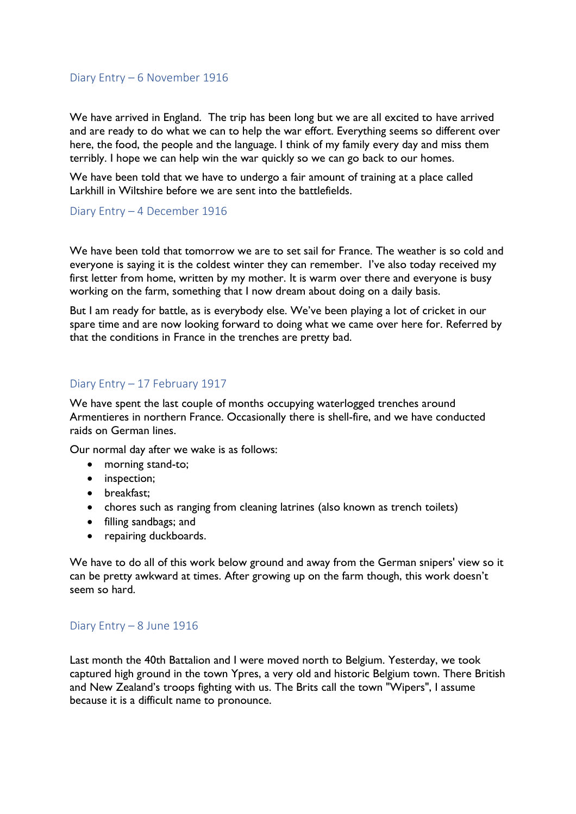#### Diary Entry – 6 November 1916

We have arrived in England. The trip has been long but we are all excited to have arrived and are ready to do what we can to help the war effort. Everything seems so different over here, the food, the people and the language. I think of my family every day and miss them terribly. I hope we can help win the war quickly so we can go back to our homes.

We have been told that we have to undergo a fair amount of training at a place called Larkhill in Wiltshire before we are sent into the battlefields.

#### Diary Entry – 4 December 1916

We have been told that tomorrow we are to set sail for France. The weather is so cold and everyone is saying it is the coldest winter they can remember. I've also today received my first letter from home, written by my mother. It is warm over there and everyone is busy working on the farm, something that I now dream about doing on a daily basis.

But I am ready for battle, as is everybody else. We've been playing a lot of cricket in our spare time and are now looking forward to doing what we came over here for. Referred by that the conditions in France in the trenches are pretty bad.

#### Diary Entry – 17 February 1917

We have spent the last couple of months occupying waterlogged trenches around Armentieres in northern France. Occasionally there is shell-fire, and we have conducted raids on German lines.

Our normal day after we wake is as follows:

- morning stand-to;
- inspection;
- breakfast;
- chores such as ranging from cleaning latrines (also known as trench toilets)
- filling sandbags; and
- repairing duckboards.

We have to do all of this work below ground and away from the German snipers' view so it can be pretty awkward at times. After growing up on the farm though, this work doesn't seem so hard.

#### Diary Entry – 8 June 1916

Last month the 40th Battalion and I were moved north to Belgium. Yesterday, we took captured high ground in the town Ypres, a very old and historic Belgium town. There British and New Zealand's troops fighting with us. The Brits call the town "Wipers", I assume because it is a difficult name to pronounce.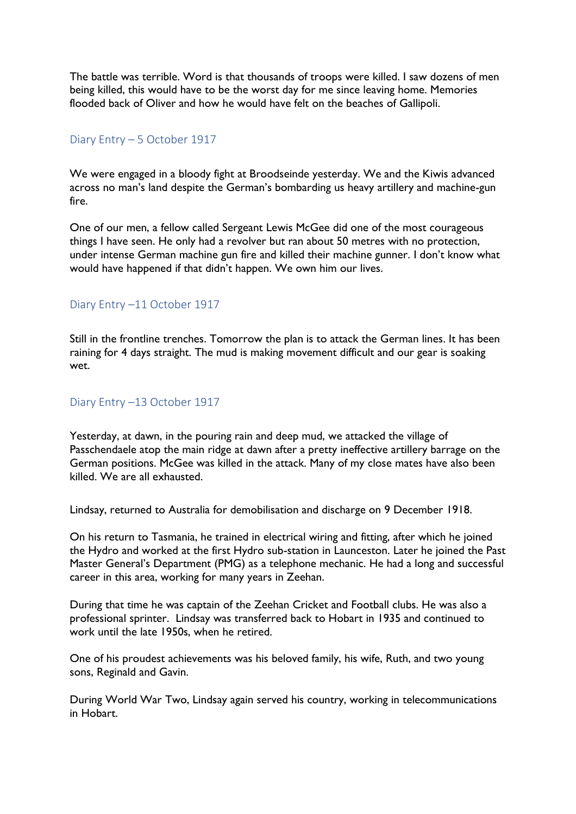The battle was terrible. Word is that thousands of troops were killed. I saw dozens of men being killed, this would have to be the worst day for me since leaving home. Memories flooded back of Oliver and how he would have felt on the beaches of Gallipoli.

#### Diary Entry – 5 October 1917

We were engaged in a bloody fight at Broodseinde yesterday. We and the Kiwis advanced across no man's land despite the German's bombarding us heavy artillery and machine-gun fire.

One of our men, a fellow called Sergeant Lewis McGee did one of the most courageous things I have seen. He only had a revolver but ran about 50 metres with no protection, under intense German machine gun fire and killed their machine gunner. I don't know what would have happened if that didn't happen. We own him our lives.

#### Diary Entry –11 October 1917

Still in the frontline trenches. Tomorrow the plan is to attack the German lines. It has been raining for 4 days straight. The mud is making movement difficult and our gear is soaking wet.

#### Diary Entry –13 October 1917

Yesterday, at dawn, in the pouring rain and deep mud, we attacked the village of Passchendaele atop the main ridge at dawn after a pretty ineffective artillery barrage on the German positions. McGee was killed in the attack. Many of my close mates have also been killed. We are all exhausted.

Lindsay, returned to Australia for demobilisation and discharge on 9 December 1918.

On his return to Tasmania, he trained in electrical wiring and fitting, after which he joined the Hydro and worked at the first Hydro sub-station in Launceston. Later he joined the Past Master General's Department (PMG) as a telephone mechanic. He had a long and successful career in this area, working for many years in Zeehan.

During that time he was captain of the Zeehan Cricket and Football clubs. He was also a professional sprinter. Lindsay was transferred back to Hobart in 1935 and continued to work until the late 1950s, when he retired.

One of his proudest achievements was his beloved family, his wife, Ruth, and two young sons, Reginald and Gavin.

During World War Two, Lindsay again served his country, working in telecommunications in Hobart.